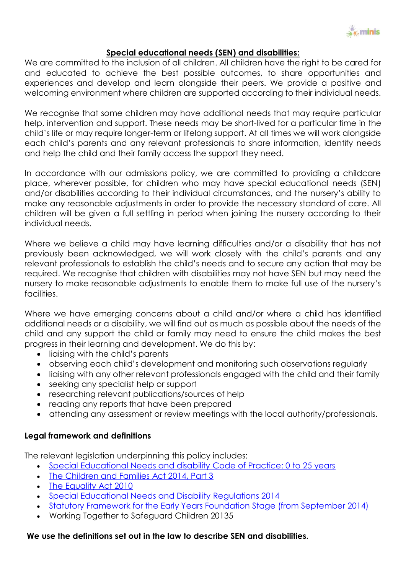

### **Special educational needs (SEN) and disabilities:**

We are committed to the inclusion of all children. All children have the right to be cared for and educated to achieve the best possible outcomes, to share opportunities and experiences and develop and learn alongside their peers. We provide a positive and welcoming environment where children are supported according to their individual needs.

We recognise that some children may have additional needs that may require particular help, intervention and support. These needs may be short-lived for a particular time in the child's life or may require longer-term or lifelong support. At all times we will work alongside each child's parents and any relevant professionals to share information, identify needs and help the child and their family access the support they need.

In accordance with our admissions policy, we are committed to providing a childcare place, wherever possible, for children who may have special educational needs (SEN) and/or disabilities according to their individual circumstances, and the nursery's ability to make any reasonable adjustments in order to provide the necessary standard of care. All children will be given a full settling in period when joining the nursery according to their individual needs.

Where we believe a child may have learning difficulties and/or a disability that has not previously been acknowledged, we will work closely with the child's parents and any relevant professionals to establish the child's needs and to secure any action that may be required. We recognise that children with disabilities may not have SEN but may need the nursery to make reasonable adjustments to enable them to make full use of the nursery's facilities.

Where we have emerging concerns about a child and/or where a child has identified additional needs or a disability, we will find out as much as possible about the needs of the child and any support the child or family may need to ensure the child makes the best progress in their learning and development. We do this by:

- liaising with the child's parents
- observing each child's development and monitoring such observations regularly
- liaising with any other relevant professionals engaged with the child and their family
- seeking any specialist help or support
- researching relevant publications/sources of help
- reading any reports that have been prepared
- attending any assessment or review meetings with the local authority/professionals.

## **Legal framework and definitions**

The relevant legislation underpinning this policy includes:

- [Special Educational Needs and disability Code of Practice: 0 to 25 years](https://www.gov.uk/government/uploads/system/uploads/attachment_data/file/319639/Code_of_Practice-Final-10June2014.pdf)
- [The Children and Families Act 2014, Part 3](http://www.legislation.gov.uk/ukpga/2014/6/contents/enacted)
- [The Equality Act 2010](http://www.legislation.gov.uk/ukpga/2010/15/contents)
- [Special Educational Needs and Disability Regulations 2014](http://www.legislation.gov.uk/uksi/2014/1530/contents/made)
- Statutory [Framework for the Early Years Foundation Stage \(from September 2014\)](https://www.gov.uk/government/uploads/system/uploads/attachment_data/file/299391/DFE-00337-2014.pdf)
- Working Together to Safeguard Children 20135

## **We use the definitions set out in the law to describe SEN and disabilities.**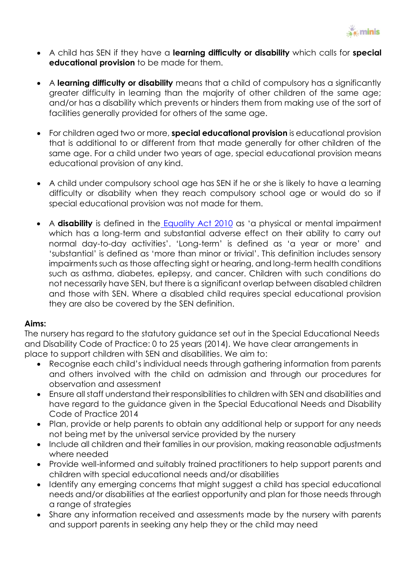

- A child has SEN if they have a **learning difficulty or disability** which calls for **special educational provision** to be made for them.
- A **learning difficulty or disability** means that a child of compulsory has a significantly greater difficulty in learning than the majority of other children of the same age; and/or has a disability which prevents or hinders them from making use of the sort of facilities generally provided for others of the same age.
- For children aged two or more, **special educational provision** is educational provision that is additional to or different from that made generally for other children of the same age. For a child under two years of age, special educational provision means educational provision of any kind.
- A child under compulsory school age has SEN if he or she is likely to have a learning difficulty or disability when they reach compulsory school age or would do so if special educational provision was not made for them.
- A **disability** is defined in the [Equality Act 2010](http://www.legislation.gov.uk/ukpga/2010/15/contents) as 'a physical or mental impairment which has a long-term and substantial adverse effect on their ability to carry out normal day-to-day activities'. 'Long-term' is defined as 'a year or more' and 'substantial' is defined as 'more than minor or trivial'. This definition includes sensory impairments such as those affecting sight or hearing, and long-term health conditions such as asthma, diabetes, epilepsy, and cancer. Children with such conditions do not necessarily have SEN, but there is a significant overlap between disabled children and those with SEN. Where a disabled child requires special educational provision they are also be covered by the SEN definition.

## **Aims:**

The nursery has regard to the statutory guidance set out in the Special Educational Needs and Disability Code of Practice: 0 to 25 years (2014). We have clear arrangements in place to support children with SEN and disabilities. We aim to:

- Recognise each child's individual needs through gathering information from parents and others involved with the child on admission and through our procedures for observation and assessment
- Ensure all staff understand their responsibilities to children with SEN and disabilities and have regard to the guidance given in the Special Educational Needs and Disability Code of Practice 2014
- Plan, provide or help parents to obtain any additional help or support for any needs not being met by the universal service provided by the nursery
- Include all children and their families in our provision, making reasonable adjustments where needed
- Provide well-informed and suitably trained practitioners to help support parents and children with special educational needs and/or disabilities
- Identify any emerging concerns that might suggest a child has special educational needs and/or disabilities at the earliest opportunity and plan for those needs through a range of strategies
- Share any information received and assessments made by the nursery with parents and support parents in seeking any help they or the child may need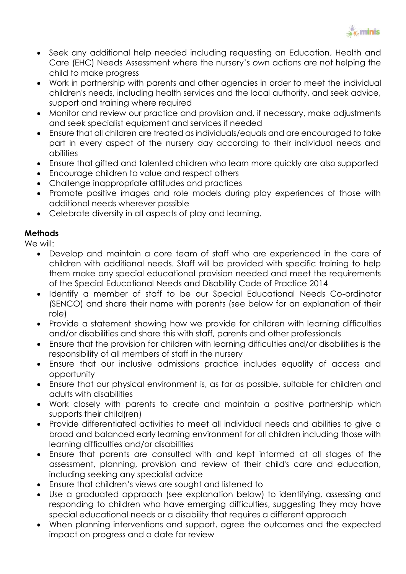

- Seek any additional help needed including requesting an Education, Health and Care (EHC) Needs Assessment where the nursery's own actions are not helping the child to make progress
- Work in partnership with parents and other agencies in order to meet the individual children's needs, including health services and the local authority, and seek advice, support and training where required
- Monitor and review our practice and provision and, if necessary, make adjustments and seek specialist equipment and services if needed
- Ensure that all children are treated as individuals/equals and are encouraged to take part in every aspect of the nursery day according to their individual needs and abilities
- Ensure that gifted and talented children who learn more quickly are also supported
- Encourage children to value and respect others
- Challenge inappropriate attitudes and practices
- Promote positive images and role models during play experiences of those with additional needs wherever possible
- Celebrate diversity in all aspects of play and learning.

# **Methods**

We will:

- Develop and maintain a core team of staff who are experienced in the care of children with additional needs. Staff will be provided with specific training to help them make any special educational provision needed and meet the requirements of the Special Educational Needs and Disability Code of Practice 2014
- Identify a member of staff to be our Special Educational Needs Co-ordinator (SENCO) and share their name with parents (see below for an explanation of their role)
- Provide a statement showing how we provide for children with learning difficulties and/or disabilities and share this with staff, parents and other professionals
- Ensure that the provision for children with learning difficulties and/or disabilities is the responsibility of all members of staff in the nursery
- Ensure that our inclusive admissions practice includes equality of access and opportunity
- Ensure that our physical environment is, as far as possible, suitable for children and adults with disabilities
- Work closely with parents to create and maintain a positive partnership which supports their child(ren)
- Provide differentiated activities to meet all individual needs and abilities to give a broad and balanced early learning environment for all children including those with learning difficulties and/or disabilities
- Ensure that parents are consulted with and kept informed at all stages of the assessment, planning, provision and review of their child's care and education, including seeking any specialist advice
- Ensure that children's views are sought and listened to
- Use a graduated approach (see explanation below) to identifying, assessing and responding to children who have emerging difficulties, suggesting they may have special educational needs or a disability that requires a different approach
- When planning interventions and support, agree the outcomes and the expected impact on progress and a date for review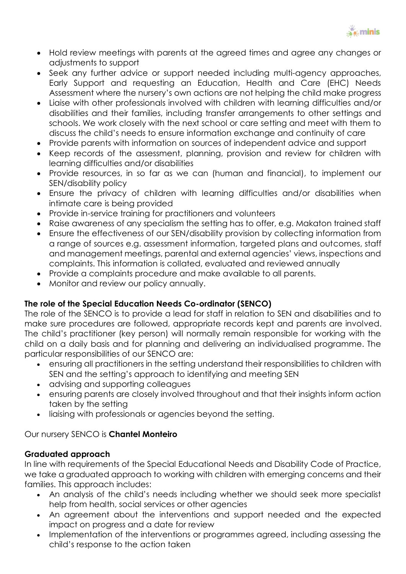

- Hold review meetings with parents at the agreed times and agree any changes or adjustments to support
- Seek any further advice or support needed including multi-agency approaches, Early Support and requesting an Education, Health and Care (EHC) Needs Assessment where the nursery's own actions are not helping the child make progress
- Liaise with other professionals involved with children with learning difficulties and/or disabilities and their families, including transfer arrangements to other settings and schools. We work closely with the next school or care setting and meet with them to discuss the child's needs to ensure information exchange and continuity of care
- Provide parents with information on sources of independent advice and support
- Keep records of the assessment, planning, provision and review for children with learning difficulties and/or disabilities
- Provide resources, in so far as we can (human and financial), to implement our SEN/disability policy
- Ensure the privacy of children with learning difficulties and/or disabilities when intimate care is being provided
- Provide in-service training for practitioners and volunteers
- Raise awareness of any specialism the setting has to offer, e.g. Makaton trained staff
- Ensure the effectiveness of our SEN/disability provision by collecting information from a range of sources e.g. assessment information, targeted plans and outcomes, staff and management meetings, parental and external agencies' views, inspections and complaints. This information is collated, evaluated and reviewed annually
- Provide a complaints procedure and make available to all parents.
- Monitor and review our policy annually.

## **The role of the Special Education Needs Co-ordinator (SENCO)**

The role of the SENCO is to provide a lead for staff in relation to SEN and disabilities and to make sure procedures are followed, appropriate records kept and parents are involved. The child's practitioner (key person) will normally remain responsible for working with the child on a daily basis and for planning and delivering an individualised programme. The particular responsibilities of our SENCO are:

- ensuring all practitioners in the setting understand their responsibilities to children with SEN and the setting's approach to identifying and meeting SEN
- advising and supporting colleagues
- ensuring parents are closely involved throughout and that their insights inform action taken by the setting
- liaising with professionals or agencies beyond the setting.

## Our nursery SENCO is **Chantel Monteiro**

## **Graduated approach**

In line with requirements of the Special Educational Needs and Disability Code of Practice, we take a graduated approach to working with children with emerging concerns and their families. This approach includes:

- An analysis of the child's needs including whether we should seek more specialist help from health, social services or other agencies
- An agreement about the interventions and support needed and the expected impact on progress and a date for review
- Implementation of the interventions or programmes agreed, including assessing the child's response to the action taken